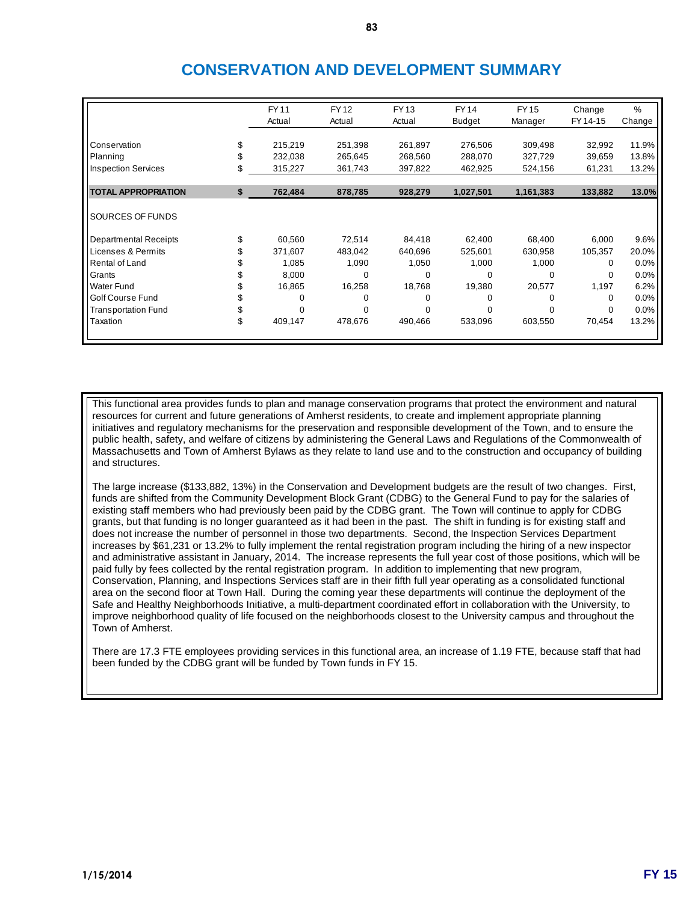# **CONSERVATION AND DEVELOPMENT SUMMARY**

|                            | <b>FY11</b>   | <b>FY12</b> | <b>FY13</b> | <b>FY14</b>   | <b>FY15</b> | Change   | %      |
|----------------------------|---------------|-------------|-------------|---------------|-------------|----------|--------|
|                            | Actual        | Actual      | Actual      | <b>Budget</b> | Manager     | FY 14-15 | Change |
|                            |               |             |             |               |             |          |        |
| Conservation               | 215,219       | 251,398     | 261,897     | 276,506       | 309,498     | 32,992   | 11.9%  |
| Planning                   | 232,038       | 265,645     | 268,560     | 288,070       | 327,729     | 39,659   | 13.8%  |
| Inspection Services        | 315,227       | 361,743     | 397,822     | 462,925       | 524,156     | 61,231   | 13.2%  |
|                            |               |             |             |               |             |          |        |
| <b>TOTAL APPROPRIATION</b> | \$<br>762,484 | 878,785     | 928,279     | 1,027,501     | 1,161,383   | 133,882  | 13.0%  |
|                            |               |             |             |               |             |          |        |
| <b>SOURCES OF FUNDS</b>    |               |             |             |               |             |          |        |
| Departmental Receipts      | 60,560        | 72,514      | 84,418      | 62,400        | 68,400      | 6,000    | 9.6%   |
| Licenses & Permits         | 371,607       | 483,042     | 640,696     | 525,601       | 630,958     | 105,357  | 20.0%  |
| Rental of Land             | 1,085         | 1,090       | 1,050       | 1,000         | 1,000       | 0        | 0.0%   |
| Grants                     | 8,000         | $\Omega$    | 0           | 0             | 0           | $\Omega$ | 0.0%   |
| <b>Water Fund</b>          | 16,865        | 16,258      | 18,768      | 19,380        | 20,577      | 1,197    | 6.2%   |
| Golf Course Fund           | 0             | $\Omega$    | 0           | 0             | 0           | 0        | 0.0%   |
| <b>Transportation Fund</b> |               | 0           |             |               | 0           | 0        | 0.0%   |
| Taxation                   | \$<br>409,147 | 478,676     | 490,466     | 533,096       | 603,550     | 70,454   | 13.2%  |
|                            |               |             |             |               |             |          |        |

This functional area provides funds to plan and manage conservation programs that protect the environment and natural resources for current and future generations of Amherst residents, to create and implement appropriate planning initiatives and regulatory mechanisms for the preservation and responsible development of the Town, and to ensure the public health, safety, and welfare of citizens by administering the General Laws and Regulations of the Commonwealth of Massachusetts and Town of Amherst Bylaws as they relate to land use and to the construction and occupancy of building and structures.

The large increase (\$133,882, 13%) in the Conservation and Development budgets are the result of two changes. First, funds are shifted from the Community Development Block Grant (CDBG) to the General Fund to pay for the salaries of existing staff members who had previously been paid by the CDBG grant. The Town will continue to apply for CDBG grants, but that funding is no longer guaranteed as it had been in the past. The shift in funding is for existing staff and does not increase the number of personnel in those two departments. Second, the Inspection Services Department increases by \$61,231 or 13.2% to fully implement the rental registration program including the hiring of a new inspector and administrative assistant in January, 2014. The increase represents the full year cost of those positions, which will be paid fully by fees collected by the rental registration program. In addition to implementing that new program, Conservation, Planning, and Inspections Services staff are in their fifth full year operating as a consolidated functional area on the second floor at Town Hall. During the coming year these departments will continue the deployment of the Safe and Healthy Neighborhoods Initiative, a multi-department coordinated effort in collaboration with the University, to improve neighborhood quality of life focused on the neighborhoods closest to the University campus and throughout the Town of Amherst.

There are 17.3 FTE employees providing services in this functional area, an increase of 1.19 FTE, because staff that had been funded by the CDBG grant will be funded by Town funds in FY 15.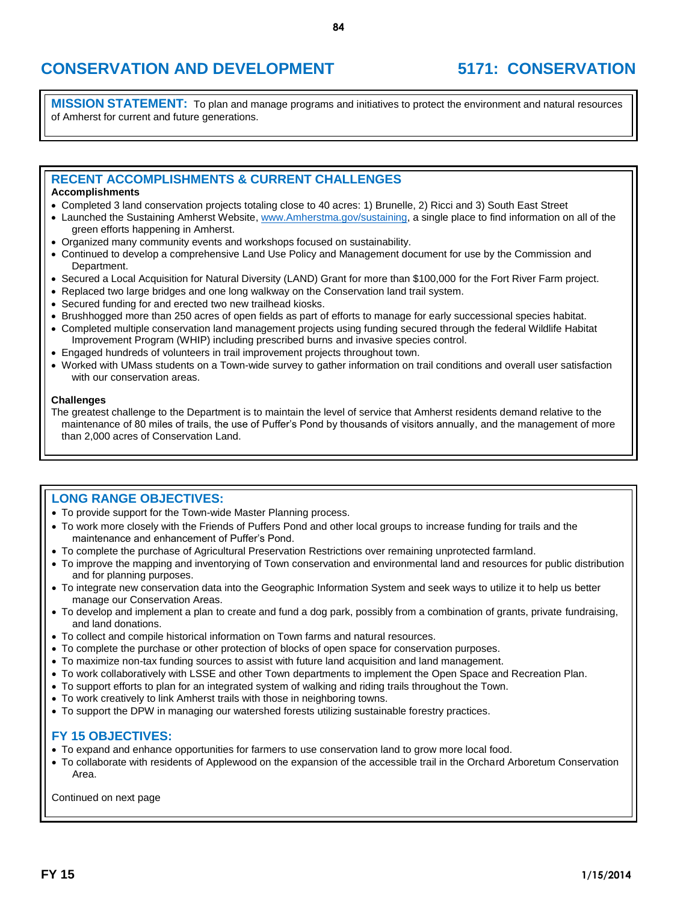# **CONSERVATION AND DEVELOPMENT 5171: CONSERVATION**

**MISSION STATEMENT:** To plan and manage programs and initiatives to protect the environment and natural resources of Amherst for current and future generations.

## **RECENT ACCOMPLISHMENTS & CURRENT CHALLENGES**

### **Accomplishments**

- Completed 3 land conservation projects totaling close to 40 acres: 1) Brunelle, 2) Ricci and 3) South East Street
- Launched the Sustaining Amherst Website, [www.Amherstma.gov/sustaining,](http://www.amherstma.gov/sustaining) a single place to find information on all of the green efforts happening in Amherst.
- Organized many community events and workshops focused on sustainability.
- Continued to develop a comprehensive Land Use Policy and Management document for use by the Commission and Department.
- Secured a Local Acquisition for Natural Diversity (LAND) Grant for more than \$100,000 for the Fort River Farm project.
- Replaced two large bridges and one long walkway on the Conservation land trail system.
- Secured funding for and erected two new trailhead kiosks.
- Brushhogged more than 250 acres of open fields as part of efforts to manage for early successional species habitat.
- Completed multiple conservation land management projects using funding secured through the federal Wildlife Habitat Improvement Program (WHIP) including prescribed burns and invasive species control.
- Engaged hundreds of volunteers in trail improvement projects throughout town.
- Worked with UMass students on a Town-wide survey to gather information on trail conditions and overall user satisfaction with our conservation areas.

#### **Challenges**

The greatest challenge to the Department is to maintain the level of service that Amherst residents demand relative to the maintenance of 80 miles of trails, the use of Puffer's Pond by thousands of visitors annually, and the management of more than 2,000 acres of Conservation Land.

## **LONG RANGE OBJECTIVES:**

- To provide support for the Town-wide Master Planning process.
- To work more closely with the Friends of Puffers Pond and other local groups to increase funding for trails and the maintenance and enhancement of Puffer's Pond.
- To complete the purchase of Agricultural Preservation Restrictions over remaining unprotected farmland.
- To improve the mapping and inventorying of Town conservation and environmental land and resources for public distribution and for planning purposes.
- To integrate new conservation data into the Geographic Information System and seek ways to utilize it to help us better manage our Conservation Areas.
- To develop and implement a plan to create and fund a dog park, possibly from a combination of grants, private fundraising, and land donations.
- To collect and compile historical information on Town farms and natural resources.
- To complete the purchase or other protection of blocks of open space for conservation purposes.
- To maximize non-tax funding sources to assist with future land acquisition and land management.
- To work collaboratively with LSSE and other Town departments to implement the Open Space and Recreation Plan.
- To support efforts to plan for an integrated system of walking and riding trails throughout the Town.
- To work creatively to link Amherst trails with those in neighboring towns.
- To support the DPW in managing our watershed forests utilizing sustainable forestry practices.

### **FY 15 OBJECTIVES:**

- To expand and enhance opportunities for farmers to use conservation land to grow more local food.
- To collaborate with residents of Applewood on the expansion of the accessible trail in the Orchard Arboretum Conservation Area.

Continued on next page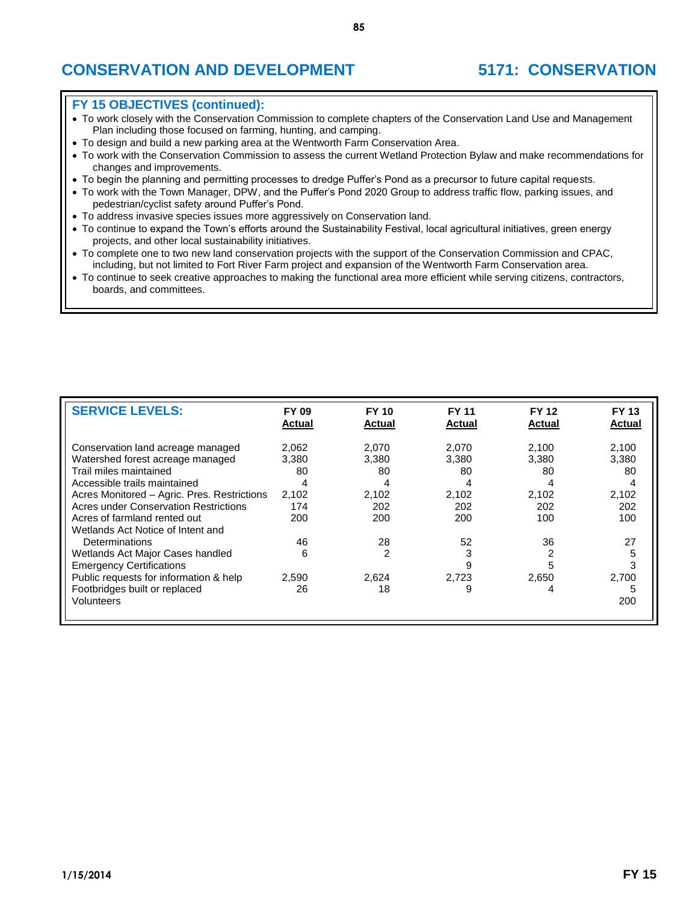# **CONSERVATION AND DEVELOPMENT 5171: CONSERVATION**

### **FY 15 OBJECTIVES (continued):**

- To work closely with the Conservation Commission to complete chapters of the Conservation Land Use and Management Plan including those focused on farming, hunting, and camping.
- To design and build a new parking area at the Wentworth Farm Conservation Area.
- To work with the Conservation Commission to assess the current Wetland Protection Bylaw and make recommendations for changes and improvements.
- To begin the planning and permitting processes to dredge Puffer's Pond as a precursor to future capital requests.
- To work with the Town Manager, DPW, and the Puffer's Pond 2020 Group to address traffic flow, parking issues, and pedestrian/cyclist safety around Puffer's Pond.
- To address invasive species issues more aggressively on Conservation land.
- To continue to expand the Town's efforts around the Sustainability Festival, local agricultural initiatives, green energy projects, and other local sustainability initiatives.
- To complete one to two new land conservation projects with the support of the Conservation Commission and CPAC, including, but not limited to Fort River Farm project and expansion of the Wentworth Farm Conservation area.
- To continue to seek creative approaches to making the functional area more efficient while serving citizens, contractors, boards, and committees.

| <b>SERVICE LEVELS:</b>                                                                                                                                                         | <b>FY 09</b><br>Actual             | <b>FY 10</b><br><b>Actual</b>      | <b>FY 11</b><br><b>Actual</b> | <b>FY 12</b><br>Actual             | <b>FY 13</b><br>Actual             |
|--------------------------------------------------------------------------------------------------------------------------------------------------------------------------------|------------------------------------|------------------------------------|-------------------------------|------------------------------------|------------------------------------|
| Conservation land acreage managed<br>Watershed forest acreage managed<br>Trail miles maintained<br>Accessible trails maintained<br>Acres Monitored - Agric. Pres. Restrictions | 2.062<br>3,380<br>80<br>4<br>2,102 | 2.070<br>3,380<br>80<br>4<br>2,102 | 2,070<br>3,380<br>80<br>2,102 | 2.100<br>3,380<br>80<br>4<br>2,102 | 2,100<br>3,380<br>80<br>4<br>2,102 |
| Acres under Conservation Restrictions<br>Acres of farmland rented out<br>Wetlands Act Notice of Intent and                                                                     | 174<br>200                         | 202<br>200                         | 202<br>200                    | 202<br>100                         | 202<br>100                         |
| Determinations<br>Wetlands Act Major Cases handled<br><b>Emergency Certifications</b><br>Public requests for information & help                                                | 46<br>6<br>2,590                   | 28<br>2<br>2,624                   | 52<br>3<br>9<br>2,723         | 36<br>2,650                        | 27<br>5<br>3<br>2,700              |
| Footbridges built or replaced<br>Volunteers                                                                                                                                    | 26                                 | 18                                 | 9                             | 4                                  | 5<br>200                           |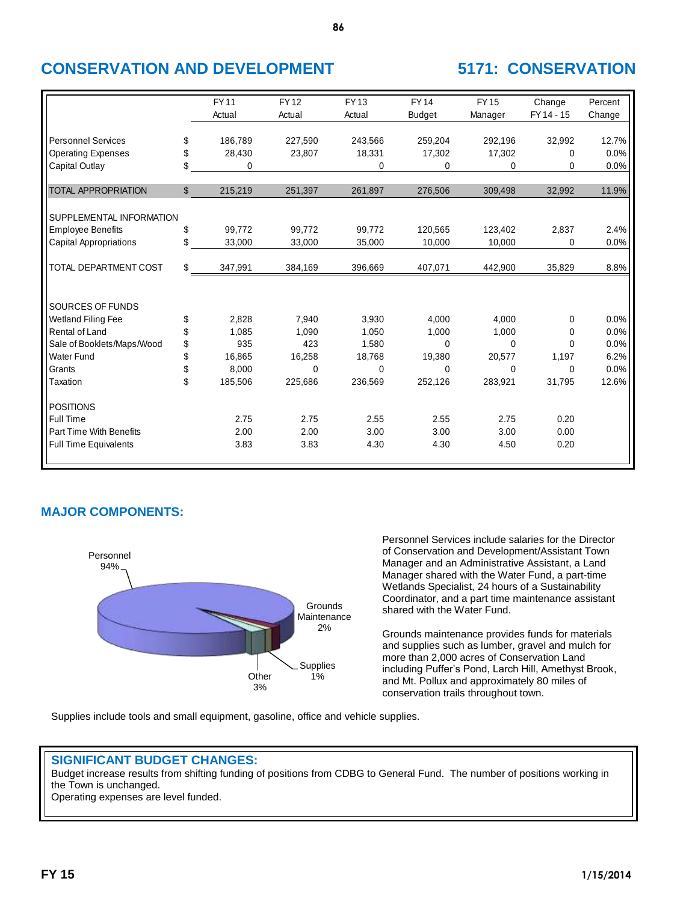# **CONSERVATION AND DEVELOPMENT 5171: CONSERVATION**

|                               | <b>FY11</b>   | <b>FY12</b> | <b>FY13</b> | <b>FY14</b>   | <b>FY15</b> | Change     | Percent |
|-------------------------------|---------------|-------------|-------------|---------------|-------------|------------|---------|
|                               | Actual        | Actual      | Actual      | <b>Budget</b> | Manager     | FY 14 - 15 | Change  |
|                               |               |             |             |               |             |            |         |
| <b>Personnel Services</b>     | \$<br>186,789 | 227,590     | 243,566     | 259,204       | 292,196     | 32,992     | 12.7%   |
| <b>Operating Expenses</b>     | \$<br>28,430  | 23,807      | 18,331      | 17,302        | 17,302      | 0          | 0.0%    |
| Capital Outlay                | \$<br>0       |             | $\Omega$    | 0             | 0           | 0          | 0.0%    |
| <b>TOTAL APPROPRIATION</b>    | \$<br>215,219 | 251,397     | 261,897     | 276,506       | 309,498     | 32,992     | 11.9%   |
| SUPPLEMENTAL INFORMATION      |               |             |             |               |             |            |         |
| <b>Employee Benefits</b>      | \$<br>99.772  | 99,772      | 99,772      | 120,565       | 123,402     | 2,837      | 2.4%    |
| <b>Capital Appropriations</b> | \$<br>33,000  | 33,000      | 35,000      | 10,000        | 10,000      | $\Omega$   | 0.0%    |
|                               |               |             |             |               |             |            |         |
| TOTAL DEPARTMENT COST         | \$<br>347,991 | 384,169     | 396,669     | 407,071       | 442,900     | 35,829     | 8.8%    |
|                               |               |             |             |               |             |            |         |
| SOURCES OF FUNDS              |               |             |             |               |             |            |         |
| Wetland Filing Fee            | \$<br>2,828   | 7,940       | 3,930       | 4,000         | 4,000       | 0          | 0.0%    |
| Rental of Land                | \$<br>1,085   | 1,090       | 1,050       | 1,000         | 1.000       | 0          | 0.0%    |
| Sale of Booklets/Maps/Wood    | \$<br>935     | 423         | 1,580       | 0             | $\Omega$    | 0          | 0.0%    |
| <b>Water Fund</b>             | \$<br>16,865  | 16,258      | 18,768      | 19,380        | 20,577      | 1,197      | 6.2%    |
| Grants                        | \$<br>8,000   | $\mathbf 0$ | $\Omega$    | 0             | 0           | $\Omega$   | 0.0%    |
| Taxation                      | \$<br>185,506 | 225,686     | 236,569     | 252,126       | 283,921     | 31,795     | 12.6%   |
| <b>POSITIONS</b>              |               |             |             |               |             |            |         |
| Full Time                     | 2.75          | 2.75        | 2.55        | 2.55          | 2.75        | 0.20       |         |
| Part Time With Benefits       | 2.00          | 2.00        | 3.00        | 3.00          | 3.00        | 0.00       |         |
| <b>Full Time Equivalents</b>  | 3.83          | 3.83        | 4.30        | 4.30          | 4.50        | 0.20       |         |
|                               |               |             |             |               |             |            |         |

**86**

# **MAJOR COMPONENTS:**



Personnel Services include salaries for the Director of Conservation and Development/Assistant Town Manager and an Administrative Assistant, a Land Manager shared with the Water Fund, a part-time Wetlands Specialist, 24 hours of a Sustainability Coordinator, and a part time maintenance assistant shared with the Water Fund.

Grounds maintenance provides funds for materials and supplies such as lumber, gravel and mulch for more than 2,000 acres of Conservation Land including Puffer's Pond, Larch Hill, Amethyst Brook, and Mt. Pollux and approximately 80 miles of conservation trails throughout town.

Supplies include tools and small equipment, gasoline, office and vehicle supplies.

## **SIGNIFICANT BUDGET CHANGES:**

Budget increase results from shifting funding of positions from CDBG to General Fund. The number of positions working in the Town is unchanged.

Operating expenses are level funded.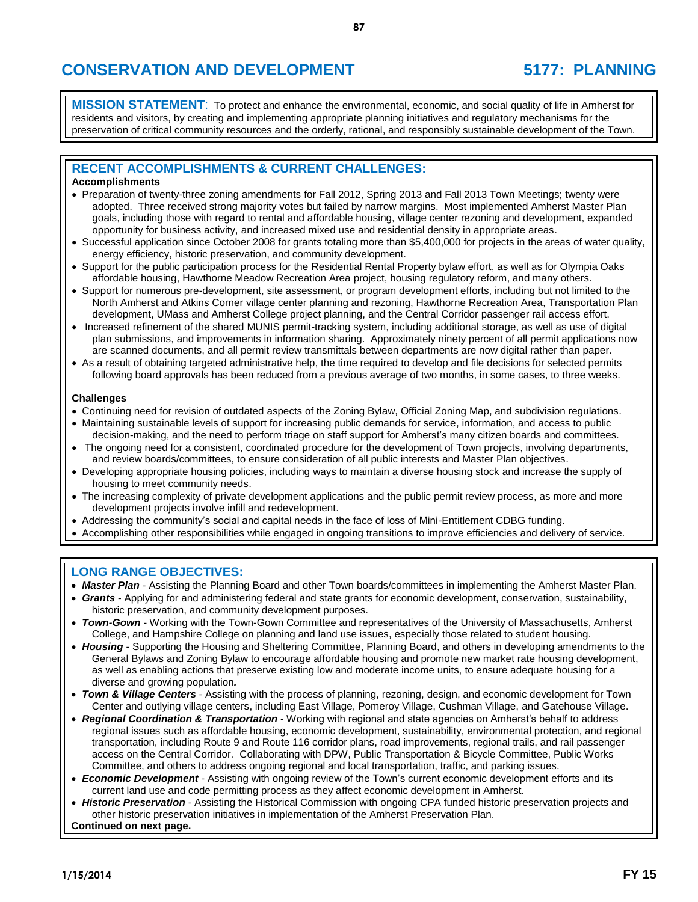**MISSION STATEMENT**: To protect and enhance the environmental, economic, and social quality of life in Amherst for residents and visitors, by creating and implementing appropriate planning initiatives and regulatory mechanisms for the preservation of critical community resources and the orderly, rational, and responsibly sustainable development of the Town.

## **RECENT ACCOMPLISHMENTS & CURRENT CHALLENGES:**

### **Accomplishments**

- Preparation of twenty-three zoning amendments for Fall 2012, Spring 2013 and Fall 2013 Town Meetings; twenty were adopted. Three received strong majority votes but failed by narrow margins. Most implemented Amherst Master Plan goals, including those with regard to rental and affordable housing, village center rezoning and development, expanded opportunity for business activity, and increased mixed use and residential density in appropriate areas.
- Successful application since October 2008 for grants totaling more than \$5,400,000 for projects in the areas of water quality, energy efficiency, historic preservation, and community development.
- Support for the public participation process for the Residential Rental Property bylaw effort, as well as for Olympia Oaks affordable housing, Hawthorne Meadow Recreation Area project, housing regulatory reform, and many others.
- Support for numerous pre-development, site assessment, or program development efforts, including but not limited to the North Amherst and Atkins Corner village center planning and rezoning, Hawthorne Recreation Area, Transportation Plan development, UMass and Amherst College project planning, and the Central Corridor passenger rail access effort.
- Increased refinement of the shared MUNIS permit-tracking system, including additional storage, as well as use of digital plan submissions, and improvements in information sharing. Approximately ninety percent of all permit applications now are scanned documents, and all permit review transmittals between departments are now digital rather than paper.
- As a result of obtaining targeted administrative help, the time required to develop and file decisions for selected permits following board approvals has been reduced from a previous average of two months, in some cases, to three weeks.

### **Challenges**

- Continuing need for revision of outdated aspects of the Zoning Bylaw, Official Zoning Map, and subdivision regulations.
- Maintaining sustainable levels of support for increasing public demands for service, information, and access to public decision-making, and the need to perform triage on staff support for Amherst's many citizen boards and committees.
- The ongoing need for a consistent, coordinated procedure for the development of Town projects, involving departments, and review boards/committees, to ensure consideration of all public interests and Master Plan objectives.
- Developing appropriate housing policies, including ways to maintain a diverse housing stock and increase the supply of housing to meet community needs.
- The increasing complexity of private development applications and the public permit review process, as more and more development projects involve infill and redevelopment.
- Addressing the community's social and capital needs in the face of loss of Mini-Entitlement CDBG funding.
- Accomplishing other responsibilities while engaged in ongoing transitions to improve efficiencies and delivery of service.

## **LONG RANGE OBJECTIVES:**

- *Master Plan* Assisting the Planning Board and other Town boards/committees in implementing the Amherst Master Plan.
- *Grants* Applying for and administering federal and state grants for economic development, conservation, sustainability, historic preservation, and community development purposes.
- *Town-Gown* Working with the Town-Gown Committee and representatives of the University of Massachusetts, Amherst College, and Hampshire College on planning and land use issues, especially those related to student housing.
- *Housing* Supporting the Housing and Sheltering Committee, Planning Board, and others in developing amendments to the General Bylaws and Zoning Bylaw to encourage affordable housing and promote new market rate housing development, as well as enabling actions that preserve existing low and moderate income units, to ensure adequate housing for a diverse and growing population*.*
- *Town & Village Centers* Assisting with the process of planning, rezoning, design, and economic development for Town Center and outlying village centers, including East Village, Pomeroy Village, Cushman Village, and Gatehouse Village.
- *Regional Coordination & Transportation* Working with regional and state agencies on Amherst's behalf to address regional issues such as affordable housing, economic development, sustainability, environmental protection, and regional transportation, including Route 9 and Route 116 corridor plans, road improvements, regional trails, and rail passenger access on the Central Corridor. Collaborating with DPW, Public Transportation & Bicycle Committee, Public Works Committee, and others to address ongoing regional and local transportation, traffic, and parking issues.
- *Economic Development* Assisting with ongoing review of the Town's current economic development efforts and its current land use and code permitting process as they affect economic development in Amherst.
- *Historic Preservation* Assisting the Historical Commission with ongoing CPA funded historic preservation projects and other historic preservation initiatives in implementation of the Amherst Preservation Plan. **Continued on next page.**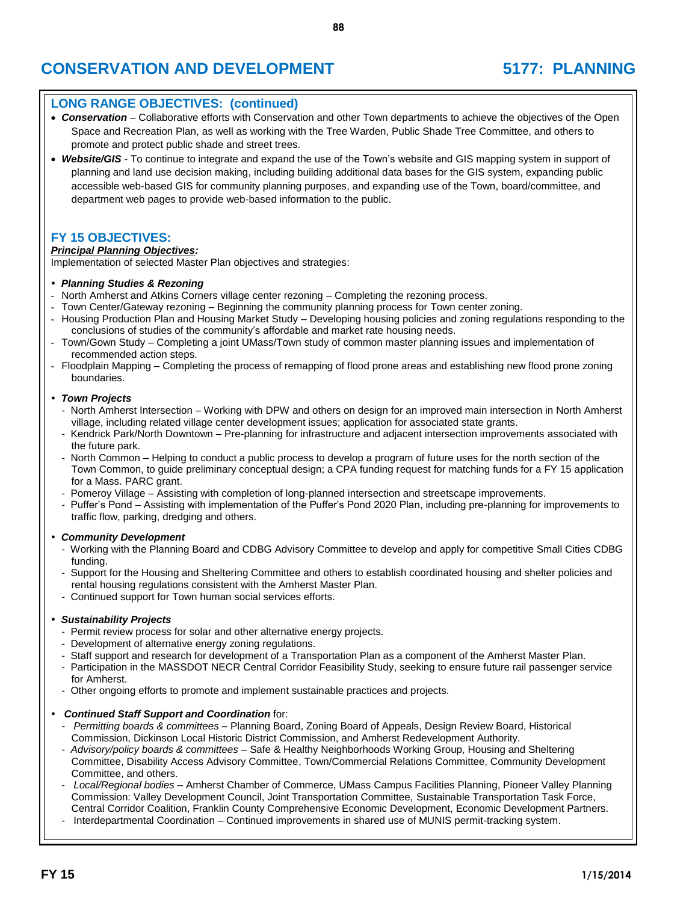## **LONG RANGE OBJECTIVES: (continued)**

 *Conservation* – Collaborative efforts with Conservation and other Town departments to achieve the objectives of the Open Space and Recreation Plan, as well as working with the Tree Warden, Public Shade Tree Committee, and others to promote and protect public shade and street trees.

**88**

 *Website/GIS* - To continue to integrate and expand the use of the Town's website and GIS mapping system in support of planning and land use decision making, including building additional data bases for the GIS system, expanding public accessible web-based GIS for community planning purposes, and expanding use of the Town, board/committee, and department web pages to provide web-based information to the public.

## **FY 15 OBJECTIVES:**

### *Principal Planning Objectives:*

Implementation of selected Master Plan objectives and strategies:

#### *Planning Studies & Rezoning*

- North Amherst and Atkins Corners village center rezoning Completing the rezoning process.
- Town Center/Gateway rezoning Beginning the community planning process for Town center zoning.
- Housing Production Plan and Housing Market Study Developing housing policies and zoning regulations responding to the conclusions of studies of the community's affordable and market rate housing needs.
- Town/Gown Study Completing a joint UMass/Town study of common master planning issues and implementation of recommended action steps.
- Floodplain Mapping Completing the process of remapping of flood prone areas and establishing new flood prone zoning boundaries.

#### *Town Projects*

- North Amherst Intersection Working with DPW and others on design for an improved main intersection in North Amherst village, including related village center development issues; application for associated state grants.
- Kendrick Park/North Downtown Pre-planning for infrastructure and adjacent intersection improvements associated with the future park.
- North Common Helping to conduct a public process to develop a program of future uses for the north section of the Town Common, to guide preliminary conceptual design; a CPA funding request for matching funds for a FY 15 application for a Mass. PARC grant.
- Pomeroy Village Assisting with completion of long-planned intersection and streetscape improvements.
- Puffer's Pond Assisting with implementation of the Puffer's Pond 2020 Plan, including pre-planning for improvements to traffic flow, parking, dredging and others.

### *Community Development*

- Working with the Planning Board and CDBG Advisory Committee to develop and apply for competitive Small Cities CDBG funding.
- Support for the Housing and Sheltering Committee and others to establish coordinated housing and shelter policies and rental housing regulations consistent with the Amherst Master Plan.
- Continued support for Town human social services efforts.

### *Sustainability Projects*

- Permit review process for solar and other alternative energy projects.
- Development of alternative energy zoning regulations.
- Staff support and research for development of a Transportation Plan as a component of the Amherst Master Plan.
- Participation in the MASSDOT NECR Central Corridor Feasibility Study, seeking to ensure future rail passenger service for Amherst.
- Other ongoing efforts to promote and implement sustainable practices and projects.

### *Continued Staff Support and Coordination* for:

- *Permitting boards & committees* Planning Board, Zoning Board of Appeals, Design Review Board, Historical Commission, Dickinson Local Historic District Commission, and Amherst Redevelopment Authority.
- *Advisory/policy boards & committees* Safe & Healthy Neighborhoods Working Group, Housing and Sheltering Committee, Disability Access Advisory Committee, Town/Commercial Relations Committee, Community Development Committee, and others.
- *Local/Regional bodies* Amherst Chamber of Commerce, UMass Campus Facilities Planning, Pioneer Valley Planning Commission: Valley Development Council, Joint Transportation Committee, Sustainable Transportation Task Force, Central Corridor Coalition, Franklin County Comprehensive Economic Development, Economic Development Partners.
- Interdepartmental Coordination Continued improvements in shared use of MUNIS permit-tracking system.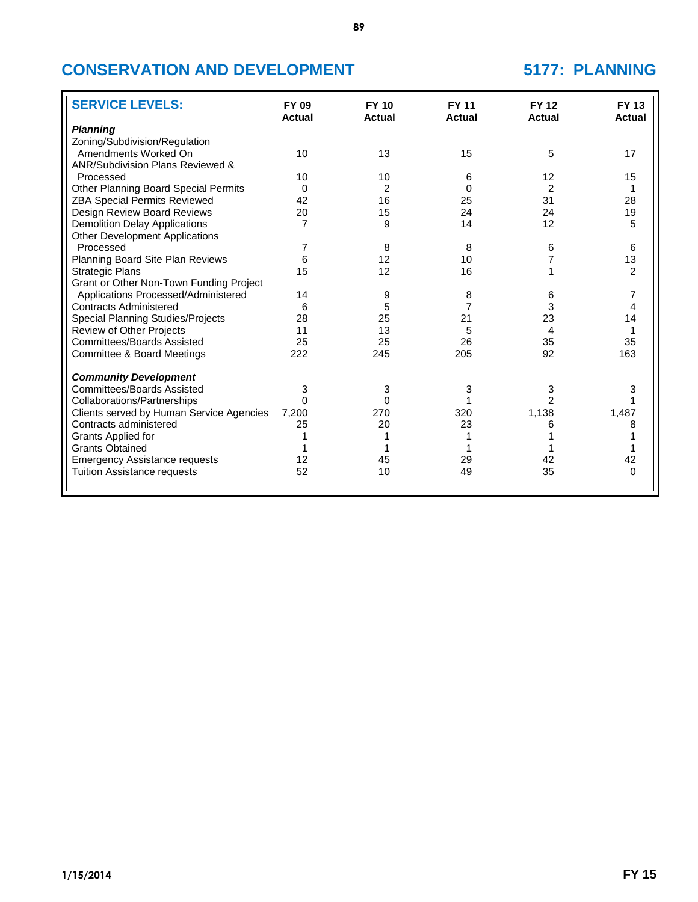| <b>SERVICE LEVELS:</b>                   | <b>FY 09</b><br><b>Actual</b> | <b>FY 10</b><br><b>Actual</b> | <b>FY 11</b><br><b>Actual</b> | <b>FY 12</b><br>Actual | <b>FY 13</b><br><b>Actual</b> |
|------------------------------------------|-------------------------------|-------------------------------|-------------------------------|------------------------|-------------------------------|
| <b>Planning</b>                          |                               |                               |                               |                        |                               |
| Zoning/Subdivision/Regulation            |                               |                               |                               |                        |                               |
| Amendments Worked On                     | 10                            | 13                            | 15                            | 5                      | 17                            |
| ANR/Subdivision Plans Reviewed &         |                               |                               |                               |                        |                               |
| Processed                                | 10                            | 10                            | 6                             | 12                     | 15                            |
| Other Planning Board Special Permits     | 0                             | 2                             | $\Omega$                      | $\overline{2}$         | 1                             |
| <b>ZBA Special Permits Reviewed</b>      | 42                            | 16                            | 25                            | 31                     | 28                            |
| Design Review Board Reviews              | 20                            | 15                            | 24                            | 24                     | 19                            |
| <b>Demolition Delay Applications</b>     | 7                             | 9                             | 14                            | 12                     | 5                             |
| <b>Other Development Applications</b>    |                               |                               |                               |                        |                               |
| Processed                                | 7                             | 8                             | 8                             | 6                      | 6                             |
| Planning Board Site Plan Reviews         | 6                             | 12                            | 10                            |                        | 13                            |
| <b>Strategic Plans</b>                   | 15                            | 12                            | 16                            |                        | $\overline{2}$                |
| Grant or Other Non-Town Funding Project  |                               |                               |                               |                        |                               |
| Applications Processed/Administered      | 14                            | 9                             |                               | 6                      | $\overline{7}$                |
| <b>Contracts Administered</b>            | 6                             |                               | 8<br>7                        | 3                      | 4                             |
|                                          |                               | 5                             |                               |                        |                               |
| Special Planning Studies/Projects        | 28                            | 25                            | 21                            | 23                     | 14                            |
| Review of Other Projects                 | 11                            | 13                            | 5                             | 4                      |                               |
| <b>Committees/Boards Assisted</b>        | 25                            | 25                            | 26                            | 35                     | 35                            |
| Committee & Board Meetings               | 222                           | 245                           | 205                           | 92                     | 163                           |
| <b>Community Development</b>             |                               |                               |                               |                        |                               |
| <b>Committees/Boards Assisted</b>        | 3                             | 3                             | 3                             | 3                      | 3                             |
| Collaborations/Partnerships              | $\Omega$                      | 0                             |                               |                        |                               |
| Clients served by Human Service Agencies | 7,200                         | 270                           | 320                           | 1,138                  | 1,487                         |
| Contracts administered                   | 25                            | 20                            | 23                            | 6                      | 8                             |
| Grants Applied for                       |                               |                               |                               |                        |                               |
| <b>Grants Obtained</b>                   |                               |                               |                               |                        |                               |
| <b>Emergency Assistance requests</b>     | 12                            | 45                            | 29                            | 42                     | 42                            |
| <b>Tuition Assistance requests</b>       | 52                            | 10                            | 49                            | 35                     | 0                             |
|                                          |                               |                               |                               |                        |                               |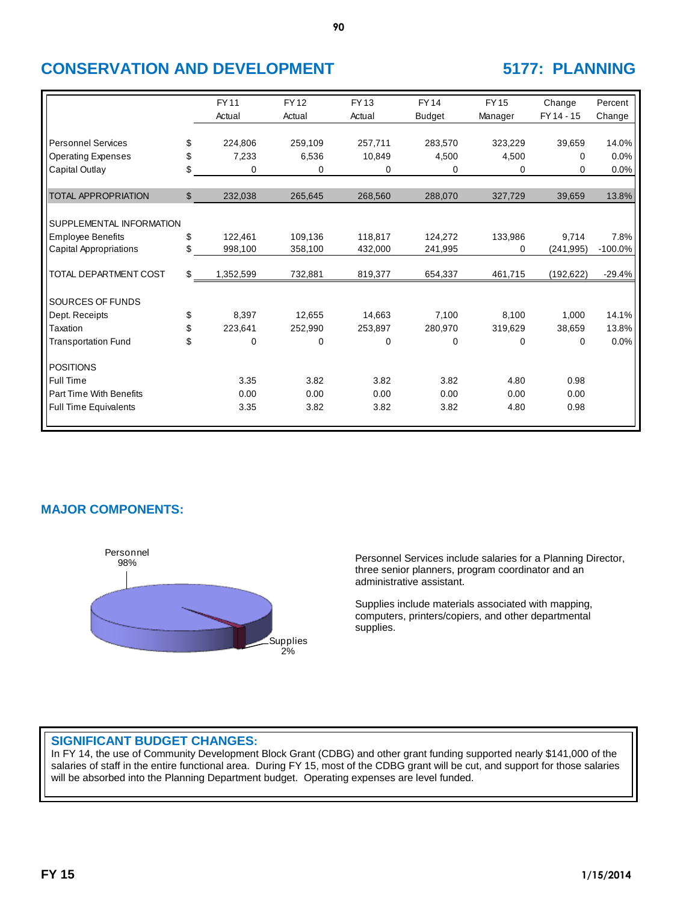|                                |              | <b>FY11</b><br>Actual | <b>FY12</b><br>Actual | <b>FY13</b><br>Actual | <b>FY14</b><br><b>Budget</b> | <b>FY15</b><br>Manager | Change<br>FY 14 - 15 | Percent<br>Change |
|--------------------------------|--------------|-----------------------|-----------------------|-----------------------|------------------------------|------------------------|----------------------|-------------------|
|                                |              |                       |                       |                       |                              |                        |                      |                   |
| <b>Personnel Services</b>      | \$           | 224,806               | 259,109               | 257,711               | 283,570                      | 323,229                | 39,659               | 14.0%             |
| <b>Operating Expenses</b>      | \$           | 7,233                 | 6,536                 | 10,849                | 4,500                        | 4,500                  | 0                    | 0.0%              |
| Capital Outlay                 | \$           | 0                     | 0                     | 0                     | 0                            | 0                      | 0                    | 0.0%              |
|                                |              |                       |                       |                       |                              |                        |                      |                   |
| <b>TOTAL APPROPRIATION</b>     | $\mathbb{S}$ | 232,038               | 265,645               | 268,560               | 288,070                      | 327,729                | 39,659               | 13.8%             |
|                                |              |                       |                       |                       |                              |                        |                      |                   |
| SUPPLEMENTAL INFORMATION       |              |                       |                       |                       |                              |                        |                      |                   |
| <b>Employee Benefits</b>       | \$           | 122.461               | 109.136               | 118,817               | 124,272                      | 133,986                | 9,714                | 7.8%              |
| Capital Appropriations         | \$           | 998,100               | 358,100               | 432,000               | 241,995                      | 0                      | (241, 995)           | $-100.0\%$        |
|                                |              |                       |                       |                       |                              |                        |                      |                   |
| TOTAL DEPARTMENT COST          | \$           | 1,352,599             | 732,881               | 819,377               | 654,337                      | 461,715                | (192, 622)           | $-29.4%$          |
|                                |              |                       |                       |                       |                              |                        |                      |                   |
| SOURCES OF FUNDS               |              |                       |                       |                       |                              |                        |                      |                   |
| Dept. Receipts                 | \$           | 8,397                 | 12,655                | 14,663                | 7,100                        | 8,100                  | 1,000                | 14.1%             |
| Taxation                       | \$           | 223,641               | 252,990               | 253,897               | 280,970                      | 319,629                | 38,659               | 13.8%             |
| <b>Transportation Fund</b>     | \$           | 0                     | 0                     | 0                     | 0                            | 0                      | 0                    | 0.0%              |
|                                |              |                       |                       |                       |                              |                        |                      |                   |
| <b>POSITIONS</b>               |              |                       |                       |                       |                              |                        |                      |                   |
| Full Time                      |              | 3.35                  | 3.82                  | 3.82                  | 3.82                         | 4.80                   | 0.98                 |                   |
| <b>Part Time With Benefits</b> |              | 0.00                  | 0.00                  | 0.00                  | 0.00                         | 0.00                   | 0.00                 |                   |
| <b>Full Time Equivalents</b>   |              | 3.35                  | 3.82                  | 3.82                  | 3.82                         | 4.80                   | 0.98                 |                   |
|                                |              |                       |                       |                       |                              |                        |                      |                   |

**90**

# **MAJOR COMPONENTS:**



Personnel Services include salaries for a Planning Director, three senior planners, program coordinator and an administrative assistant.

Supplies include materials associated with mapping, computers, printers/copiers, and other departmental supplies.

## **SIGNIFICANT BUDGET CHANGES:**

In FY 14, the use of Community Development Block Grant (CDBG) and other grant funding supported nearly \$141,000 of the salaries of staff in the entire functional area. During FY 15, most of the CDBG grant will be cut, and support for those salaries will be absorbed into the Planning Department budget. Operating expenses are level funded.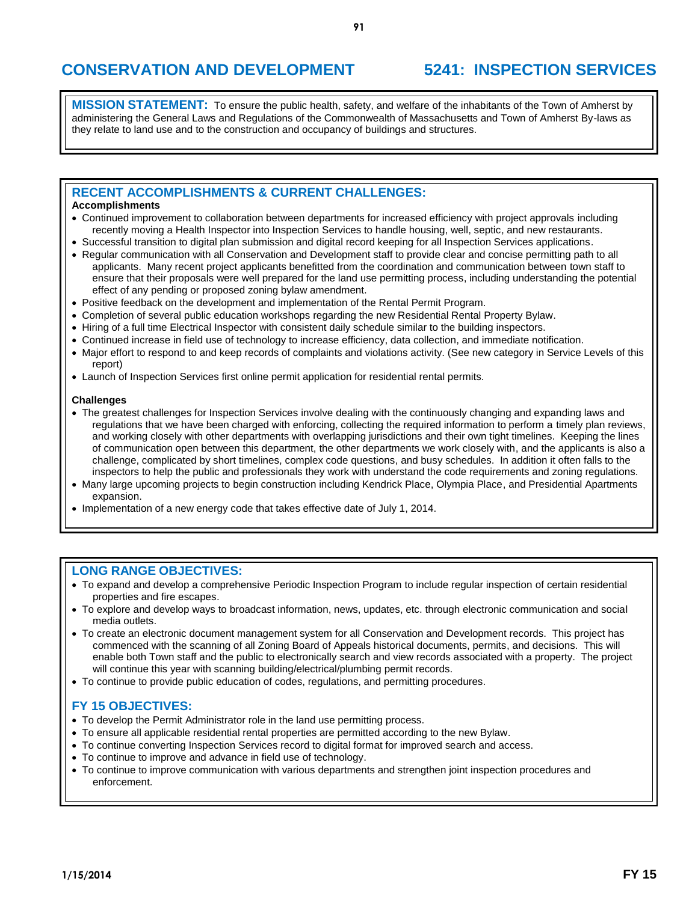# **CONSERVATION AND DEVELOPMENT 5241: INSPECTION SERVICES**

**MISSION STATEMENT:** To ensure the public health, safety, and welfare of the inhabitants of the Town of Amherst by administering the General Laws and Regulations of the Commonwealth of Massachusetts and Town of Amherst By-laws as they relate to land use and to the construction and occupancy of buildings and structures.

## **RECENT ACCOMPLISHMENTS & CURRENT CHALLENGES:**

### **Accomplishments**

- Continued improvement to collaboration between departments for increased efficiency with project approvals including recently moving a Health Inspector into Inspection Services to handle housing, well, septic, and new restaurants.
- Successful transition to digital plan submission and digital record keeping for all Inspection Services applications.
- Regular communication with all Conservation and Development staff to provide clear and concise permitting path to all applicants. Many recent project applicants benefitted from the coordination and communication between town staff to ensure that their proposals were well prepared for the land use permitting process, including understanding the potential effect of any pending or proposed zoning bylaw amendment.
- Positive feedback on the development and implementation of the Rental Permit Program.
- Completion of several public education workshops regarding the new Residential Rental Property Bylaw.
- Hiring of a full time Electrical Inspector with consistent daily schedule similar to the building inspectors.
- Continued increase in field use of technology to increase efficiency, data collection, and immediate notification.
- Major effort to respond to and keep records of complaints and violations activity. (See new category in Service Levels of this report)
- Launch of Inspection Services first online permit application for residential rental permits.

#### **Challenges**

- The greatest challenges for Inspection Services involve dealing with the continuously changing and expanding laws and regulations that we have been charged with enforcing, collecting the required information to perform a timely plan reviews, and working closely with other departments with overlapping jurisdictions and their own tight timelines. Keeping the lines of communication open between this department, the other departments we work closely with, and the applicants is also a challenge, complicated by short timelines, complex code questions, and busy schedules. In addition it often falls to the inspectors to help the public and professionals they work with understand the code requirements and zoning regulations.
- Many large upcoming projects to begin construction including Kendrick Place, Olympia Place, and Presidential Apartments expansion.
- Implementation of a new energy code that takes effective date of July 1, 2014.

### **LONG RANGE OBJECTIVES:**

- To expand and develop a comprehensive Periodic Inspection Program to include regular inspection of certain residential properties and fire escapes.
- To explore and develop ways to broadcast information, news, updates, etc. through electronic communication and social media outlets.
- To create an electronic document management system for all Conservation and Development records. This project has commenced with the scanning of all Zoning Board of Appeals historical documents, permits, and decisions. This will enable both Town staff and the public to electronically search and view records associated with a property. The project will continue this year with scanning building/electrical/plumbing permit records.
- To continue to provide public education of codes, regulations, and permitting procedures.

# **FY 15 OBJECTIVES:**

- To develop the Permit Administrator role in the land use permitting process.
- To ensure all applicable residential rental properties are permitted according to the new Bylaw.
- To continue converting Inspection Services record to digital format for improved search and access.
- To continue to improve and advance in field use of technology.
- To continue to improve communication with various departments and strengthen joint inspection procedures and enforcement.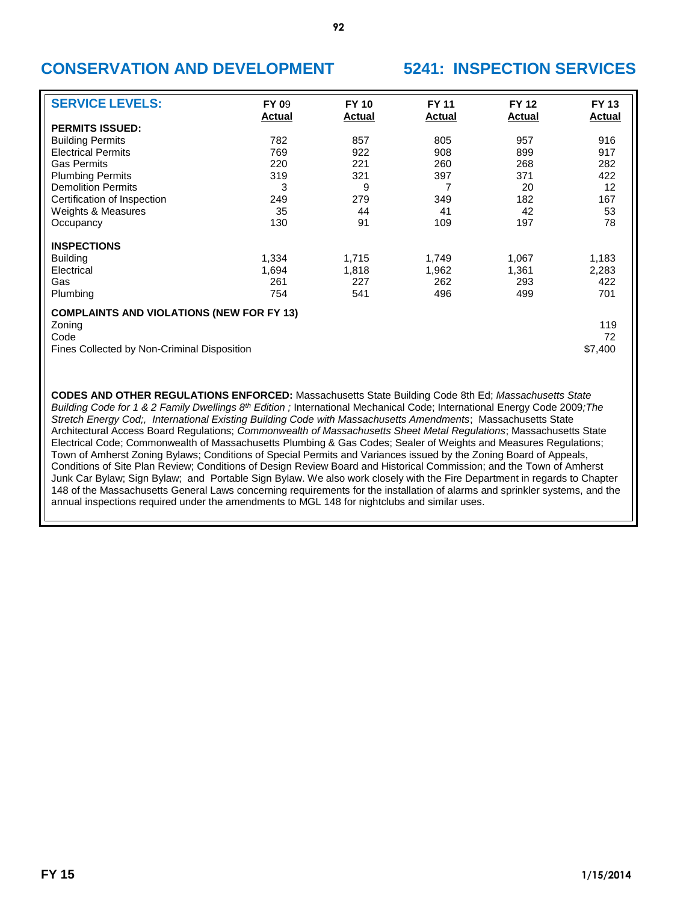# **CONSERVATION AND DEVELOPMENT 5241: INSPECTION SERVICES**

| <b>SERVICE LEVELS:</b>                           | <b>FY 09</b><br><b>Actual</b> | <b>FY 10</b><br><b>Actual</b> | <b>FY 11</b><br><b>Actual</b> | <b>FY 12</b><br><b>Actual</b> | <b>FY 13</b><br><b>Actual</b> |
|--------------------------------------------------|-------------------------------|-------------------------------|-------------------------------|-------------------------------|-------------------------------|
| <b>PERMITS ISSUED:</b>                           |                               |                               |                               |                               |                               |
| <b>Building Permits</b>                          | 782                           | 857                           | 805                           | 957                           | 916                           |
| <b>Electrical Permits</b>                        | 769                           | 922                           | 908                           | 899                           | 917                           |
| <b>Gas Permits</b>                               | 220                           | 221                           | 260                           | 268                           | 282                           |
| <b>Plumbing Permits</b>                          | 319                           | 321                           | 397                           | 371                           | 422                           |
| <b>Demolition Permits</b>                        | 3                             | 9                             | 7                             | 20                            | 12                            |
| Certification of Inspection                      | 249                           | 279                           | 349                           | 182                           | 167                           |
| Weights & Measures                               | 35                            | 44                            | 41                            | 42                            | 53                            |
| Occupancy                                        | 130                           | 91                            | 109                           | 197                           | 78                            |
| <b>INSPECTIONS</b>                               |                               |                               |                               |                               |                               |
| <b>Building</b>                                  | 1,334                         | 1,715                         | 1,749                         | 1,067                         | 1,183                         |
| Electrical                                       | 1,694                         | 1,818                         | 1,962                         | 1,361                         | 2,283                         |
| Gas                                              | 261                           | 227                           | 262                           | 293                           | 422                           |
| Plumbing                                         | 754                           | 541                           | 496                           | 499                           | 701                           |
| <b>COMPLAINTS AND VIOLATIONS (NEW FOR FY 13)</b> |                               |                               |                               |                               |                               |
| Zoning                                           |                               |                               |                               |                               | 119                           |
| Code                                             |                               |                               |                               |                               | 72                            |
| Fines Collected by Non-Criminal Disposition      |                               |                               |                               |                               | \$7,400                       |

**CODES AND OTHER REGULATIONS ENFORCED:** Massachusetts State Building Code 8th Ed; *Massachusetts State Building Code for 1 & 2 Family Dwellings 8th Edition ;* International Mechanical Code; International Energy Code 2009*;The Stretch Energy Cod;, International Existing Building Code with Massachusetts Amendments*; Massachusetts State Architectural Access Board Regulations; *Commonwealth of Massachusetts Sheet Metal Regulations*; Massachusetts State Electrical Code; Commonwealth of Massachusetts Plumbing & Gas Codes; Sealer of Weights and Measures Regulations; Town of Amherst Zoning Bylaws; Conditions of Special Permits and Variances issued by the Zoning Board of Appeals, Conditions of Site Plan Review; Conditions of Design Review Board and Historical Commission; and the Town of Amherst Junk Car Bylaw; Sign Bylaw; and Portable Sign Bylaw. We also work closely with the Fire Department in regards to Chapter 148 of the Massachusetts General Laws concerning requirements for the installation of alarms and sprinkler systems, and the annual inspections required under the amendments to MGL 148 for nightclubs and similar uses.

**92**